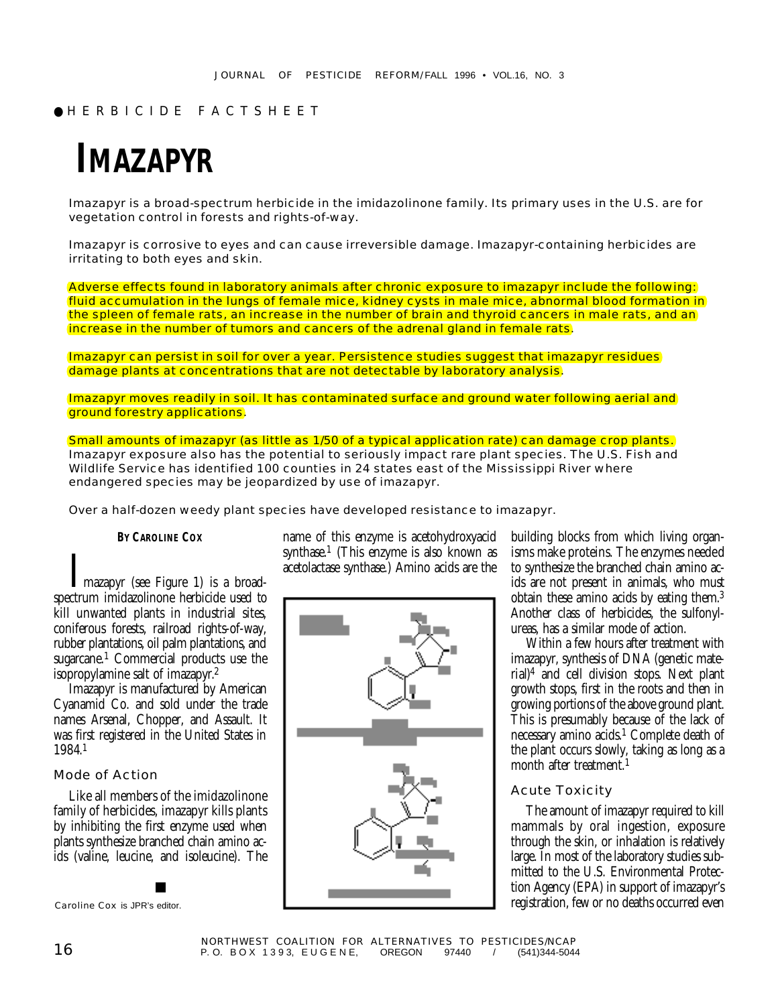# ● HERBICIDE FACTSHEE T

# **IMAZAPYR**

Imazapyr is a broad-spectrum herbicide in the imidazolinone family. Its primary uses in the U.S. are for vegetation control in forests and rights-of-way.

Imazapyr is corrosive to eyes and can cause irreversible damage. Imazapyr-containing herbicides are irritating to both eyes and skin.

Adverse effects found in laboratory animals after chronic exposure to imazapyr include the following: fluid accumulation in the lungs of female mice, kidney cysts in male mice, abnormal blood formation in the spleen of female rats, an increase in the number of brain and thyroid cancers in male rats, and an increase in the number of tumors and cancers of the adrenal gland in female rats.

Imazapyr can persist in soil for over a year. Persistence studies suggest that imazapyr residues damage plants at concentrations that are not detectable by laboratory analysis.

Imazapyr moves readily in soil. It has contaminated surface and ground water following aerial and ground forestry applications.

Small amounts of imazapyr (as little as 1/50 of a typical application rate) can damage crop plants. Imazapyr exposure also has the potential to seriously impact rare plant species. The U.S. Fish and Wildlife Service has identified 100 counties in 24 states east of the Mississippi River where endangered species may be jeopardized by use of imazapyr.

Over a half-dozen weedy plant species have developed resistance to imazapyr.

#### **BY CAROLINE COX**

Imazapyr (see Figure 1) is a broadspectrum imidazolinone herbicide used to kill unwanted plants in industrial sites, coniferous forests, railroad rights-of-way, rubber plantations, oil palm plantations, and sugarcane. <sup>1</sup> Commercial products use the isopropylamine salt of imazapyr. 2

Imazapyr is manufactured by American Cyanamid Co. and sold under the trade names Arsenal, Chopper, and Assault. It was first registered in the United States in 1984.<sup>1</sup>

# Mode of Action

Like all members of the imidazolinone family of herbicides, imazapyr kills plants by inhibiting the first enzyme used when plants synthesize branched chain amino acids (valine, leucine, and isoleucine). The

name of this enzyme is acetohydroxyacid synthase. <sup>1</sup> (This enzyme is also known as acetolactase synthase.) Amino acids are the



building blocks from which living organisms make proteins. The enzymes needed to synthesize the branched chain amino acids are not present in animals, who must obtain these amino acids by eating them. 3 Another class of herbicides, the sulfonylureas, has a similar mode of action.

Within a few hours after treatment with imazapyr, synthesis of DNA (genetic material)4 and cell division stops. Next plant growth stops, first in the roots and then in growing portions of the above ground plant. This is presumably because of the lack of necessary amino acids. <sup>1</sup> Complete death of the plant occurs slowly, taking as long as a month after treatment. 1

#### Acute Toxicity

The amount of imazapyr required to kill mammals by oral ingestion, exposure through the skin, or inhalation is relatively large. In most of the laboratory studies submitted to the U.S. Environmental Protection Agency (EPA) in support of imazapyr's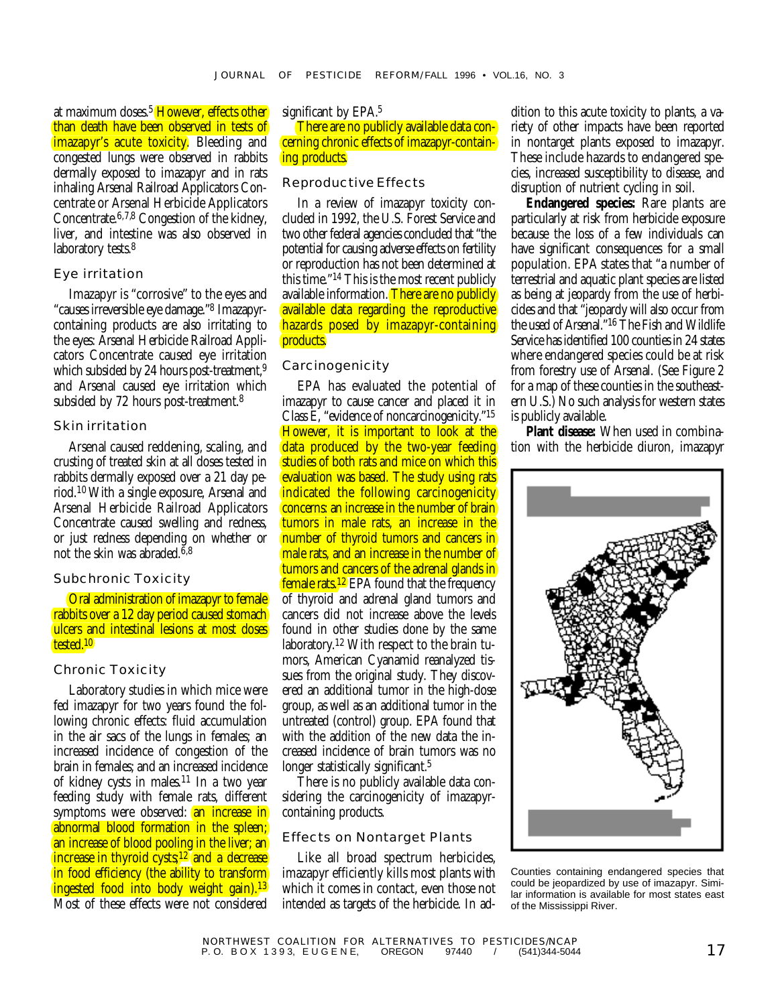at maximum doses. <sup>5</sup> However, effects other than death have been observed in tests of imazapyr's acute toxicity. Bleeding and congested lungs were observed in rabbits dermally exposed to imazapyr and in rats inhaling Arsenal Railroad Applicators Concentrate or Arsenal Herbicide Applicators Concentrate. 6,7,8 Congestion of the kidney, liver, and intestine was also observed in laboratory tests.<sup>8</sup>

## Eye irritation

Imazapyr is "corrosive" to the eyes and "causes irreversible eye damage." 8 Imazapyrcontaining products are also irritating to the eyes: Arsenal Herbicide Railroad Applicators Concentrate caused eye irritation which subsided by 24 hours post-treatment, 9 and Arsenal caused eye irritation which subsided by 72 hours post-treatment.<sup>8</sup>

#### Skin irritation

Arsenal caused reddening, scaling, and crusting of treated skin at all doses tested in rabbits dermally exposed over a 21 day period. <sup>10</sup>With a single exposure, Arsenal and Arsenal Herbicide Railroad Applicators Concentrate caused swelling and redness, or just redness depending on whether or not the skin was abraded. 6,8

#### Subchronic Toxicity

Oral administration of imazapyr to female rabbits over a 12 day period caused stomach ulcers and intestinal lesions at most doses <mark>tested.<sup>10</sup></mark>

### Chronic Toxicity

Laboratory studies in which mice were fed imazapyr for two years found the following chronic effects: fluid accumulation in the air sacs of the lungs in females; an increased incidence of congestion of the brain in females; and an increased incidence of kidney cysts in males. <sup>11</sup> In a two year feeding study with female rats, different symptoms were observed: an increase in abnormal blood formation in the spleen; an increase of blood pooling in the liver; an increase in thyroid cysts;<sup>12</sup> and a decrease in food efficiency (the ability to transform ingested food into body weight gain). 13 Most of these effects were not considered

significant by EPA.<sup>5</sup>

There are no publicly available data concerning chronic effects of imazapyr-containing products.

## Reproductive Effects

In a review of imazapyr toxicity concluded in 1992, the U.S. Forest Service and two other federal agencies concluded that "the potential for causing adverse effects on fertility or reproduction has not been determined at this time." <sup>14</sup> This is the most recent publicly available information. There are no publicly available data regarding the reproductive hazards posed by imazapyr-containing products.

### **Carcinogenicity**

EPA has evaluated the potential of imazapyr to cause cancer and placed it in Class E, "evidence of noncarcinogenicity." 15 However, it is important to look at the data produced by the two-year feeding studies of both rats and mice on which this evaluation was based. The study using rats indicated the following carcinogenicity concerns: an increase in the number of brain tumors in male rats, an increase in the number of thyroid tumors and cancers in male rats, and an increase in the number of tumors and cancers of the adrenal glands in female rats.<sup>12</sup> EPA found that the frequency of thyroid and adrenal gland tumors and cancers did not increase above the levels found in other studies done by the same laboratory. 12 With respect to the brain tumors, American Cyanamid reanalyzed tissues from the original study. They discovered an additional tumor in the high-dose group, as well as an additional tumor in the untreated (control) group. EPA found that with the addition of the new data the increased incidence of brain tumors was no longer statistically significant.<sup>5</sup>

There is no publicly available data considering the carcinogenicity of imazapyrcontaining products.

#### Effects on Nontarget Plants

Like all broad spectrum herbicides, imazapyr efficiently kills most plants with which it comes in contact, even those not intended as targets of the herbicide. In addition to this acute toxicity to plants, a variety of other impacts have been reported in nontarget plants exposed to imazapyr. These include hazards to endangered species, increased susceptibility to disease, and disruption of nutrient cycling in soil.

**Endangered species:** Rare plants are particularly at risk from herbicide exposure because the loss of a few individuals can have significant consequences for a small population. EPA states that "a number of terrestrial and aquatic plant species are listed as being at jeopardy from the use of herbicides and that "jeopardy will also occur from the used of Arsenal." <sup>16</sup> The Fish and Wildlife Service has identified 100 counties in 24 states where endangered species could be at risk from forestry use of Arsenal. (See Figure 2 for a map of these counties in the southeastern U.S.) No such analysis for western states is publicly available.

**Plant disease:** When used in combination with the herbicide diuron, imazapyr



Counties containing endangered species that could be jeopardized by use of imazapyr. Similar information is available for most states east of the Mississippi River.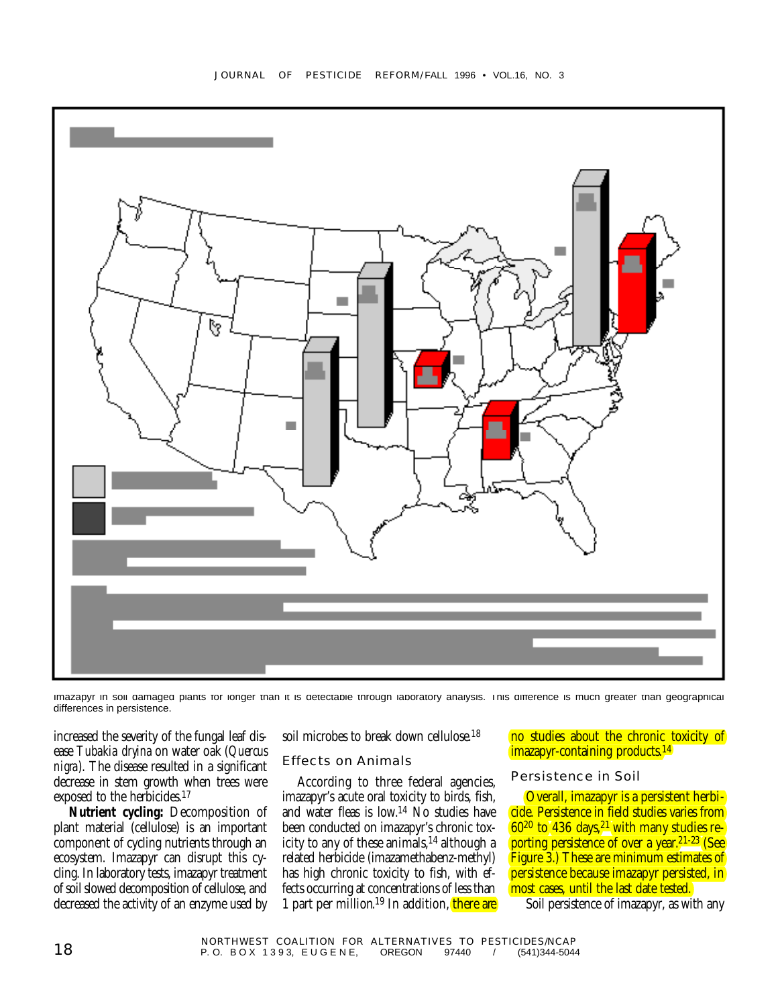

Imazapyr in soil damaged plants for longer than it is detectable through laboratory analysis. This difference is much greater than geographical differences in persistence.

increased the severity of the fungal leaf disease *Tubakia dryina* on water oak (*Quercus nigra*). The disease resulted in a significant decrease in stem growth when trees were exposed to the herbicides. 17

**Nutrient cycling:** Decomposition of plant material (cellulose) is an important component of cycling nutrients through an ecosystem. Imazapyr can disrupt this cycling. In laboratory tests, imazapyr treatment of soil slowed decomposition of cellulose, and decreased the activity of an enzyme used by

soil microbes to break down cellulose. 18

# Effects on Animals

According to three federal agencies, imazapyr's acute oral toxicity to birds, fish, and water fleas is low. <sup>14</sup> No studies have been conducted on imazapyr's chronic toxicity to any of these animals,  $14$  although a related herbicide (imazamethabenz-methyl) has high chronic toxicity to fish, with effects occurring at concentrations of less than 1 part per million.<sup>19</sup> In addition, there are no studies about the chronic toxicity of imazapyr-containing products. 14

#### Persistence in Soil

Overall, imazapyr is a persistent herbicide. Persistence in field studies varies from 6020 to 436 days, 21 with many studies reporting persistence of over a year. 21-23 (See Figure 3.) These are minimum estimates of persistence because imazapyr persisted, in most cases, until the last date tested.

Soil persistence of imazapyr, as with any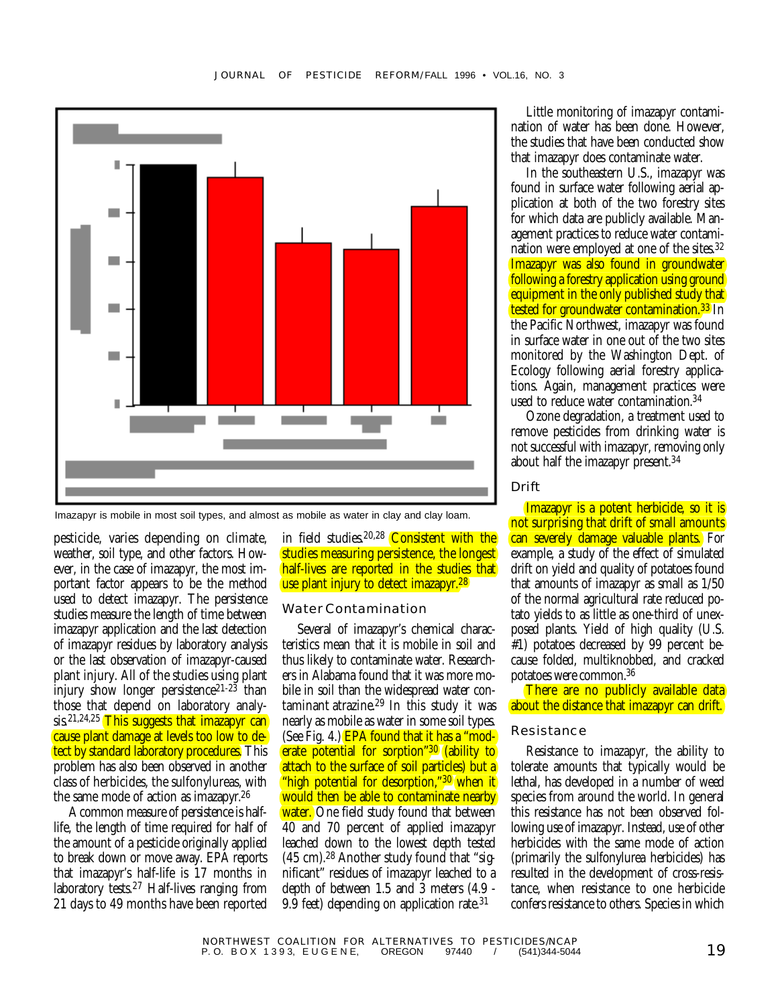

Imazapyr is mobile in most soil types, and almost as mobile as water in clay and clay loam.

pesticide, varies depending on climate, weather, soil type, and other factors. However, in the case of imazapyr, the most important factor appears to be the method used to detect imazapyr. The persistence studies measure the length of time between imazapyr application and the last detection of imazapyr residues by laboratory analysis or the last observation of imazapyr-caused plant injury. All of the studies using plant injury show longer persistence 21-23 than those that depend on laboratory analysis.<sup>21,24,25</sup> This suggests that imazapyr can cause plant damage at levels too low to detect by standard laboratory procedures. This problem has also been observed in another class of herbicides, the sulfonylureas, with the same mode of action as imazapyr. 26

A common measure of persistence is halflife, the length of time required for half of the amount of a pesticide originally applied to break down or move away. EPA reports that imazapyr's half-life is 17 months in laboratory tests. <sup>27</sup> Half-lives ranging from 21 days to 49 months have been reported

in field studies.<sup>20,28</sup> <mark>Consistent with the</mark> studies measuring persistence, the longest half-lives are reported in the studies that use plant injury to detect imazapyr. 28

#### Water Contamination

Several of imazapyr's chemical characteristics mean that it is mobile in soil and thus likely to contaminate water. Researchers in Alabama found that it was more mobile in soil than the widespread water contaminant atrazine.29 In this study it was nearly as mobile as water in some soil types. (See Fig. 4.) EPA found that it has a "moderate potential for sorption" <sup>30</sup> (ability to attach to the surface of soil particles) but a "high potential for desorption," <sup>30</sup> when it would then be able to contaminate nearby water. One field study found that between 40 and 70 percent of applied imazapyr leached down to the lowest depth tested (45 cm).28 Another study found that "significant" residues of imazapyr leached to a depth of between 1.5 and 3 meters (4.9 - 9.9 feet) depending on application rate.<sup>31</sup>

Little monitoring of imazapyr contamination of water has been done. However, the studies that have been conducted show that imazapyr does contaminate water.

In the southeastern U.S., imazapyr was found in surface water following aerial application at both of the two forestry sites for which data are publicly available. Management practices to reduce water contamination were employed at one of the sites. 32 Imazapyr was also found in groundwater following a forestry application using ground equipment in the only published study that <mark>tested for groundwater contamination.<sup>33</sup> I</mark>n the Pacific Northwest, imazapyr was found in surface water in one out of the two sites monitored by the Washington Dept. of Ecology following aerial forestry applications. Again, management practices were used to reduce water contamination. 34

Ozone degradation, a treatment used to remove pesticides from drinking water is not successful with imazapyr, removing only about half the imazapyr present. 34

# Drift

Imazapyr is a potent herbicide, so it is not surprising that drift of small amounts can severely damage valuable plants. For example, a study of the effect of simulated drift on yield and quality of potatoes found that amounts of imazapyr as small as 1/50 of the normal agricultural rate reduced potato yields to as little as one-third of unexposed plants. Yield of high quality (U.S. #1) potatoes decreased by 99 percent because folded, multiknobbed, and cracked potatoes were common. 36

There are no publicly available data about the distance that imazapyr can drift.

#### **Resistance**

Resistance to imazapyr, the ability to tolerate amounts that typically would be lethal, has developed in a number of weed species from around the world. In general this resistance has not been observed following use of imazapyr. Instead, use of other herbicides with the same mode of action (primarily the sulfonylurea herbicides) has resulted in the development of cross-resistance, when resistance to one herbicide confers resistance to others. Species in which